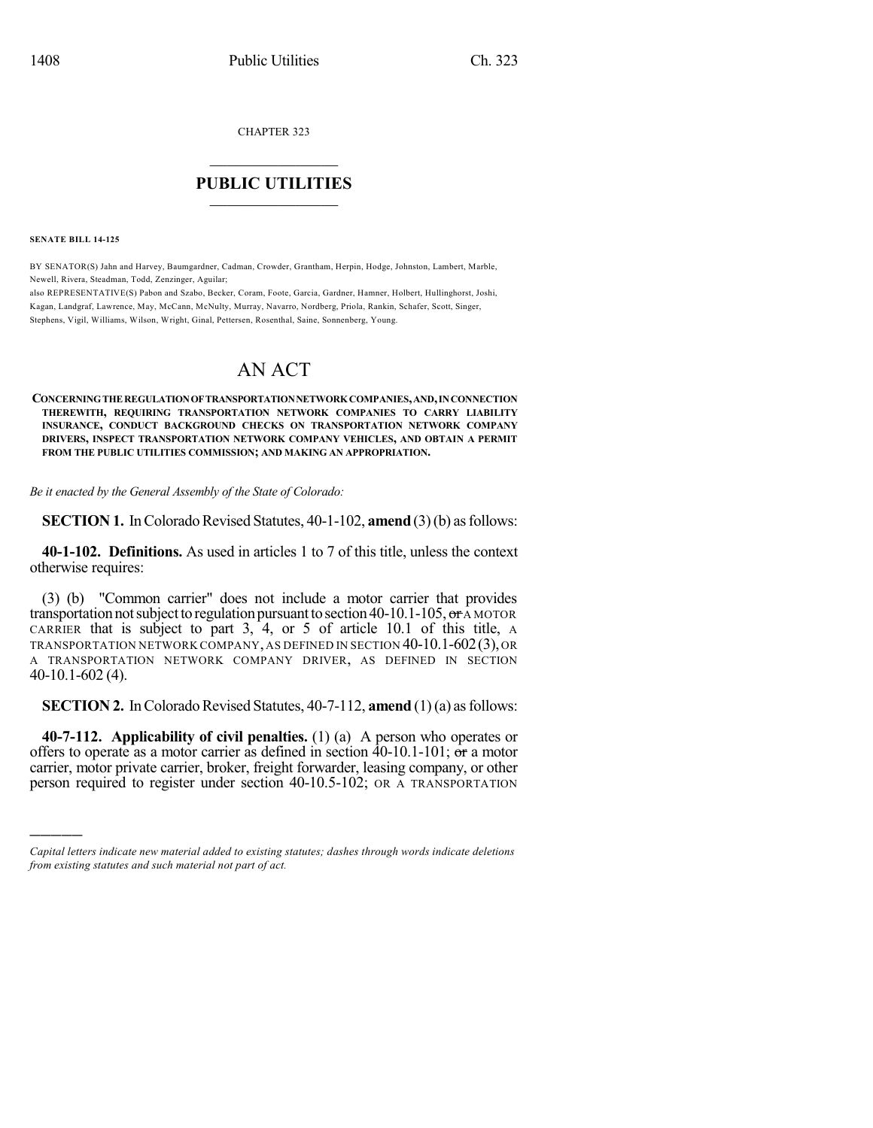CHAPTER 323

## $\overline{\phantom{a}}$  . The set of the set of the set of the set of the set of the set of the set of the set of the set of the set of the set of the set of the set of the set of the set of the set of the set of the set of the set o **PUBLIC UTILITIES** \_\_\_\_\_\_\_\_\_\_\_\_\_\_\_

**SENATE BILL 14-125**

)))))

BY SENATOR(S) Jahn and Harvey, Baumgardner, Cadman, Crowder, Grantham, Herpin, Hodge, Johnston, Lambert, Marble, Newell, Rivera, Steadman, Todd, Zenzinger, Aguilar;

also REPRESENTATIVE(S) Pabon and Szabo, Becker, Coram, Foote, Garcia, Gardner, Hamner, Holbert, Hullinghorst, Joshi, Kagan, Landgraf, Lawrence, May, McCann, McNulty, Murray, Navarro, Nordberg, Priola, Rankin, Schafer, Scott, Singer, Stephens, Vigil, Williams, Wilson, Wright, Ginal, Pettersen, Rosenthal, Saine, Sonnenberg, Young.

# AN ACT

**CONCERNINGTHEREGULATIONOFTRANSPORTATIONNETWORK COMPANIES,AND,INCONNECTION THEREWITH, REQUIRING TRANSPORTATION NETWORK COMPANIES TO CARRY LIABILITY INSURANCE, CONDUCT BACKGROUND CHECKS ON TRANSPORTATION NETWORK COMPANY DRIVERS, INSPECT TRANSPORTATION NETWORK COMPANY VEHICLES, AND OBTAIN A PERMIT FROM THE PUBLIC UTILITIES COMMISSION; AND MAKING AN APPROPRIATION.**

*Be it enacted by the General Assembly of the State of Colorado:*

**SECTION 1.** In Colorado Revised Statutes, 40-1-102, **amend** (3)(b) as follows:

**40-1-102. Definitions.** As used in articles 1 to 7 of this title, unless the context otherwise requires:

(3) (b) "Common carrier" does not include a motor carrier that provides transportation not subject to regulation pursuant to section 40-10.1-105,  $\sigma$  A MOTOR CARRIER that is subject to part 3, 4, or 5 of article 10.1 of this title, A TRANSPORTATION NETWORK COMPANY, AS DEFINED IN SECTION 40-10.1-602(3), OR A TRANSPORTATION NETWORK COMPANY DRIVER, AS DEFINED IN SECTION 40-10.1-602 (4).

**SECTION 2.** In Colorado Revised Statutes, 40-7-112, **amend** (1)(a) as follows:

**40-7-112. Applicability of civil penalties.** (1) (a) A person who operates or offers to operate as a motor carrier as defined in section  $40-10.1-101$ ; or a motor carrier, motor private carrier, broker, freight forwarder, leasing company, or other person required to register under section 40-10.5-102; OR A TRANSPORTATION

*Capital letters indicate new material added to existing statutes; dashes through words indicate deletions from existing statutes and such material not part of act.*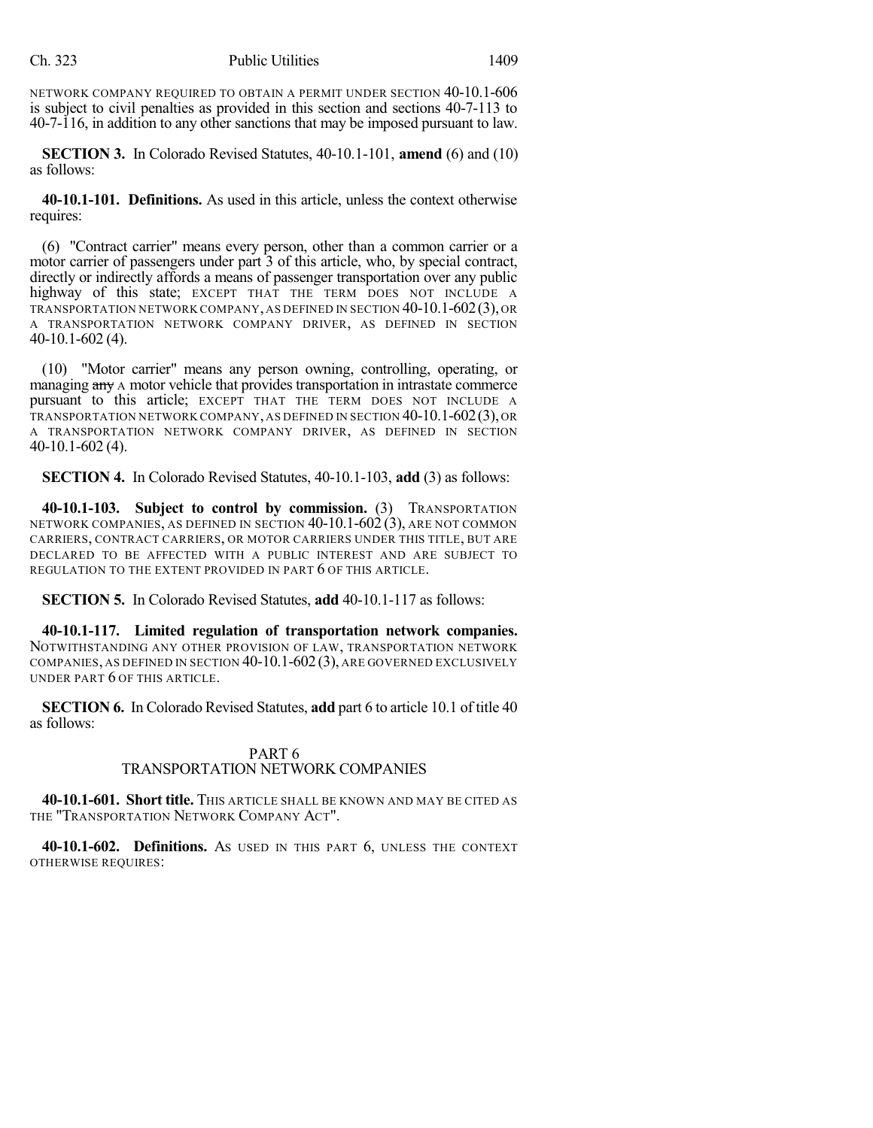NETWORK COMPANY REQUIRED TO OBTAIN A PERMIT UNDER SECTION 40-10.1-606 is subject to civil penalties as provided in this section and sections 40-7-113 to 40-7-116, in addition to any other sanctions that may be imposed pursuant to law.

**SECTION 3.** In Colorado Revised Statutes, 40-10.1-101, **amend** (6) and (10) as follows:

**40-10.1-101. Definitions.** As used in this article, unless the context otherwise requires:

(6) "Contract carrier" means every person, other than a common carrier or a motor carrier of passengers under part 3 of this article, who, by special contract, directly or indirectly affords a means of passenger transportation over any public highway of this state; EXCEPT THAT THE TERM DOES NOT INCLUDE A TRANSPORTATION NETWORK COMPANY, AS DEFINED IN SECTION 40-10.1-602(3), OR A TRANSPORTATION NETWORK COMPANY DRIVER, AS DEFINED IN SECTION 40-10.1-602 (4).

(10) "Motor carrier" means any person owning, controlling, operating, or managing any A motor vehicle that provides transportation in intrastate commerce pursuant to this article; EXCEPT THAT THE TERM DOES NOT INCLUDE A TRANSPORTATION NETWORK COMPANY, AS DEFINED IN SECTION 40-10.1-602(3), OR A TRANSPORTATION NETWORK COMPANY DRIVER, AS DEFINED IN SECTION 40-10.1-602 (4).

**SECTION 4.** In Colorado Revised Statutes, 40-10.1-103, **add** (3) as follows:

**40-10.1-103. Subject to control by commission.** (3) TRANSPORTATION NETWORK COMPANIES, AS DEFINED IN SECTION 40-10.1-602 (3), ARE NOT COMMON CARRIERS, CONTRACT CARRIERS, OR MOTOR CARRIERS UNDER THIS TITLE, BUT ARE DECLARED TO BE AFFECTED WITH A PUBLIC INTEREST AND ARE SUBJECT TO REGULATION TO THE EXTENT PROVIDED IN PART 6 OF THIS ARTICLE.

**SECTION 5.** In Colorado Revised Statutes, **add** 40-10.1-117 as follows:

**40-10.1-117. Limited regulation of transportation network companies.** NOTWITHSTANDING ANY OTHER PROVISION OF LAW, TRANSPORTATION NETWORK COMPANIES, AS DEFINED IN SECTION 40-10.1-602(3), ARE GOVERNED EXCLUSIVELY UNDER PART 6 OF THIS ARTICLE.

**SECTION 6.** In Colorado Revised Statutes, **add** part 6 to article 10.1 of title 40 as follows:

## PART 6 TRANSPORTATION NETWORK COMPANIES

**40-10.1-601. Short title.** THIS ARTICLE SHALL BE KNOWN AND MAY BE CITED AS THE "TRANSPORTATION NETWORK COMPANY ACT".

**40-10.1-602. Definitions.** AS USED IN THIS PART 6, UNLESS THE CONTEXT OTHERWISE REQUIRES: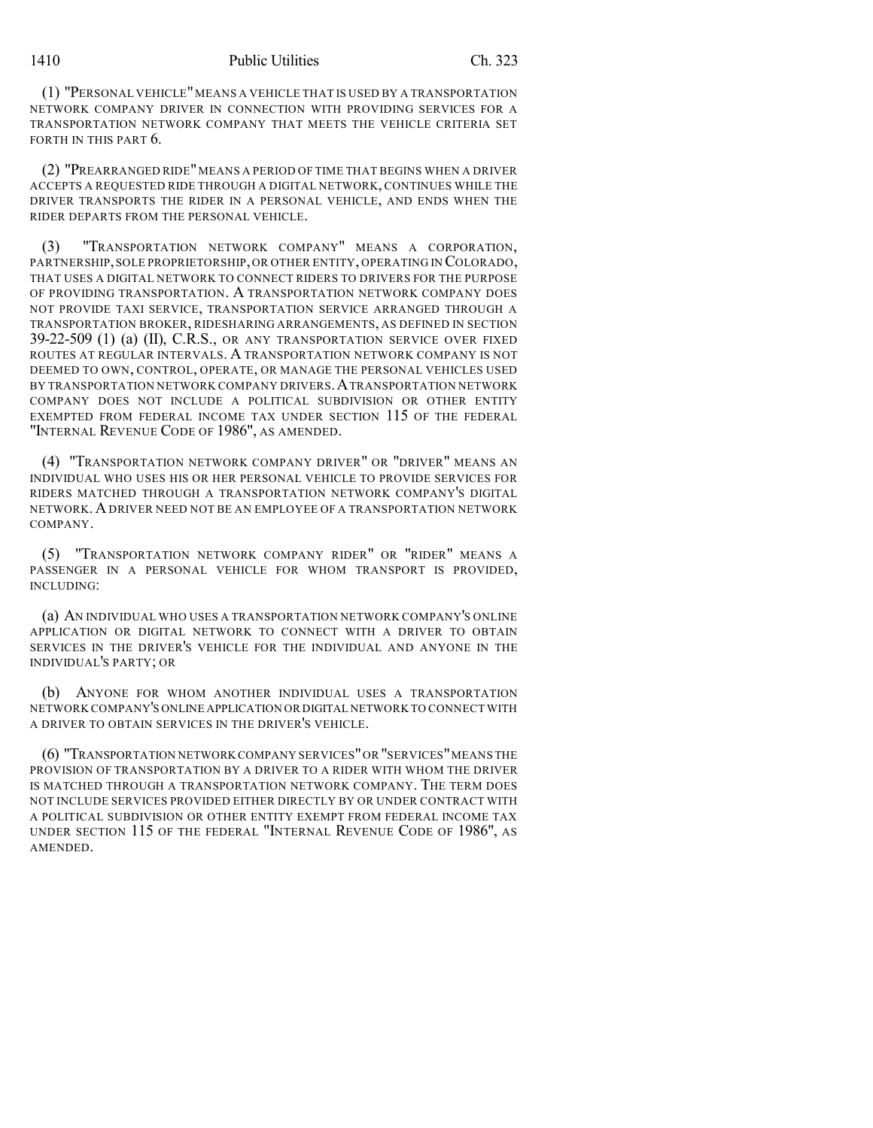(1) "PERSONAL VEHICLE"MEANS A VEHICLE THAT IS USED BY A TRANSPORTATION NETWORK COMPANY DRIVER IN CONNECTION WITH PROVIDING SERVICES FOR A TRANSPORTATION NETWORK COMPANY THAT MEETS THE VEHICLE CRITERIA SET FORTH IN THIS PART 6.

(2) "PREARRANGED RIDE"MEANS A PERIOD OF TIME THAT BEGINS WHEN A DRIVER ACCEPTS A REQUESTED RIDE THROUGH A DIGITAL NETWORK, CONTINUES WHILE THE DRIVER TRANSPORTS THE RIDER IN A PERSONAL VEHICLE, AND ENDS WHEN THE RIDER DEPARTS FROM THE PERSONAL VEHICLE.

(3) "TRANSPORTATION NETWORK COMPANY" MEANS A CORPORATION, PARTNERSHIP,SOLE PROPRIETORSHIP, OR OTHER ENTITY, OPERATING IN COLORADO, THAT USES A DIGITAL NETWORK TO CONNECT RIDERS TO DRIVERS FOR THE PURPOSE OF PROVIDING TRANSPORTATION. A TRANSPORTATION NETWORK COMPANY DOES NOT PROVIDE TAXI SERVICE, TRANSPORTATION SERVICE ARRANGED THROUGH A TRANSPORTATION BROKER, RIDESHARING ARRANGEMENTS, AS DEFINED IN SECTION 39-22-509 (1) (a) (II), C.R.S., OR ANY TRANSPORTATION SERVICE OVER FIXED ROUTES AT REGULAR INTERVALS. A TRANSPORTATION NETWORK COMPANY IS NOT DEEMED TO OWN, CONTROL, OPERATE, OR MANAGE THE PERSONAL VEHICLES USED BY TRANSPORTATION NETWORK COMPANY DRIVERS. A TRANSPORTATION NETWORK COMPANY DOES NOT INCLUDE A POLITICAL SUBDIVISION OR OTHER ENTITY EXEMPTED FROM FEDERAL INCOME TAX UNDER SECTION 115 OF THE FEDERAL "INTERNAL REVENUE CODE OF 1986", AS AMENDED.

(4) "TRANSPORTATION NETWORK COMPANY DRIVER" OR "DRIVER" MEANS AN INDIVIDUAL WHO USES HIS OR HER PERSONAL VEHICLE TO PROVIDE SERVICES FOR RIDERS MATCHED THROUGH A TRANSPORTATION NETWORK COMPANY'S DIGITAL NETWORK.ADRIVER NEED NOT BE AN EMPLOYEE OF A TRANSPORTATION NETWORK COMPANY.

(5) "TRANSPORTATION NETWORK COMPANY RIDER" OR "RIDER" MEANS A PASSENGER IN A PERSONAL VEHICLE FOR WHOM TRANSPORT IS PROVIDED, INCLUDING:

(a) AN INDIVIDUAL WHO USES A TRANSPORTATION NETWORK COMPANY'S ONLINE APPLICATION OR DIGITAL NETWORK TO CONNECT WITH A DRIVER TO OBTAIN SERVICES IN THE DRIVER'S VEHICLE FOR THE INDIVIDUAL AND ANYONE IN THE INDIVIDUAL'S PARTY; OR

(b) ANYONE FOR WHOM ANOTHER INDIVIDUAL USES A TRANSPORTATION NETWORK COMPANY'S ONLINE APPLICATION OR DIGITAL NETWORK TO CONNECT WITH A DRIVER TO OBTAIN SERVICES IN THE DRIVER'S VEHICLE.

(6) "TRANSPORTATION NETWORKCOMPANY SERVICES"OR "SERVICES"MEANS THE PROVISION OF TRANSPORTATION BY A DRIVER TO A RIDER WITH WHOM THE DRIVER IS MATCHED THROUGH A TRANSPORTATION NETWORK COMPANY. THE TERM DOES NOT INCLUDE SERVICES PROVIDED EITHER DIRECTLY BY OR UNDER CONTRACT WITH A POLITICAL SUBDIVISION OR OTHER ENTITY EXEMPT FROM FEDERAL INCOME TAX UNDER SECTION 115 OF THE FEDERAL "INTERNAL REVENUE CODE OF 1986", AS AMENDED.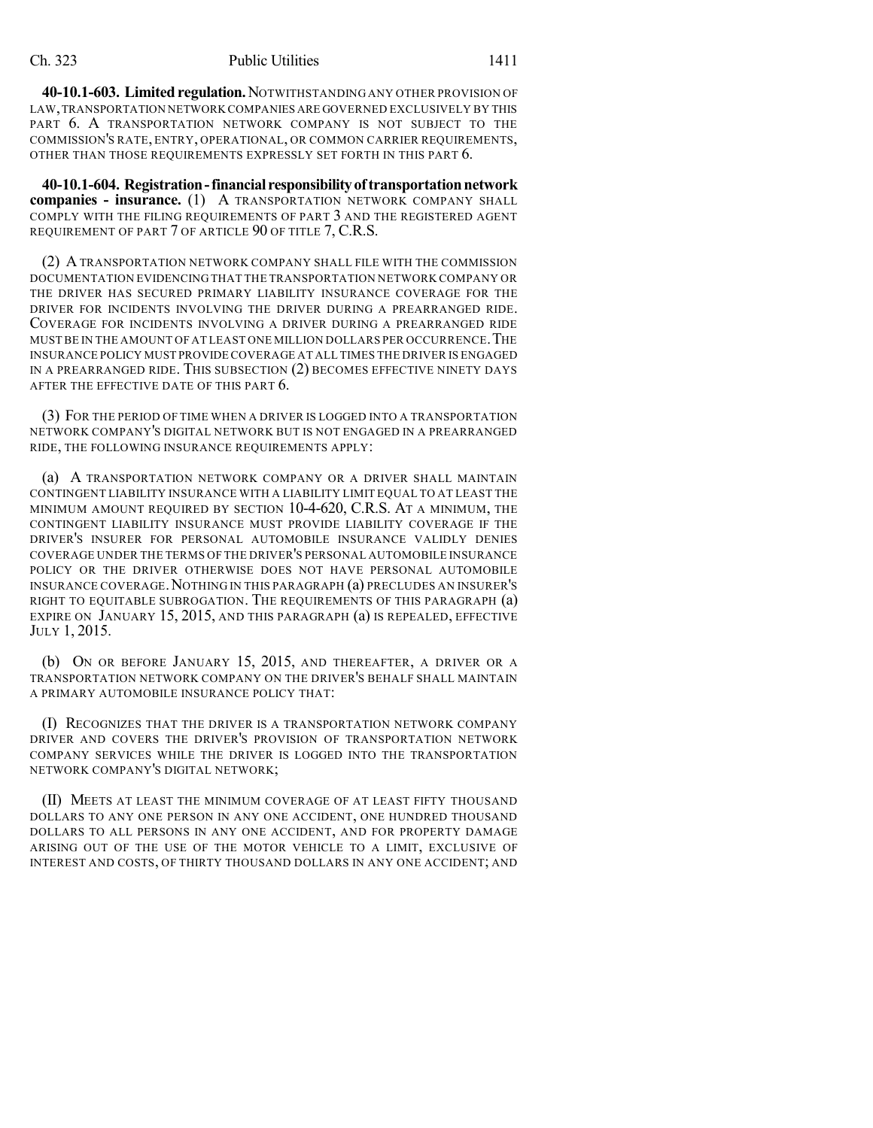**40-10.1-603. Limited regulation.** NOTWITHSTANDING ANY OTHER PROVISION OF LAW,TRANSPORTATION NETWORK COMPANIES ARE GOVERNED EXCLUSIVELY BY THIS PART 6. A TRANSPORTATION NETWORK COMPANY IS NOT SUBJECT TO THE COMMISSION'S RATE, ENTRY, OPERATIONAL, OR COMMON CARRIER REQUIREMENTS, OTHER THAN THOSE REQUIREMENTS EXPRESSLY SET FORTH IN THIS PART 6.

**40-10.1-604. Registration-financial responsibilityoftransportationnetwork companies - insurance.** (1) A TRANSPORTATION NETWORK COMPANY SHALL COMPLY WITH THE FILING REQUIREMENTS OF PART 3 AND THE REGISTERED AGENT REQUIREMENT OF PART 7 OF ARTICLE 90 OF TITLE 7, C.R.S.

(2) A TRANSPORTATION NETWORK COMPANY SHALL FILE WITH THE COMMISSION DOCUMENTATION EVIDENCING THAT THE TRANSPORTATION NETWORK COMPANY OR THE DRIVER HAS SECURED PRIMARY LIABILITY INSURANCE COVERAGE FOR THE DRIVER FOR INCIDENTS INVOLVING THE DRIVER DURING A PREARRANGED RIDE. COVERAGE FOR INCIDENTS INVOLVING A DRIVER DURING A PREARRANGED RIDE MUST BE IN THE AMOUNT OF AT LEAST ONE MILLION DOLLARS PER OCCURRENCE.THE INSURANCE POLICY MUST PROVIDE COVERAGE AT ALL TIMES THE DRIVER IS ENGAGED IN A PREARRANGED RIDE. THIS SUBSECTION (2) BECOMES EFFECTIVE NINETY DAYS AFTER THE EFFECTIVE DATE OF THIS PART 6.

(3) FOR THE PERIOD OF TIME WHEN A DRIVER IS LOGGED INTO A TRANSPORTATION NETWORK COMPANY'S DIGITAL NETWORK BUT IS NOT ENGAGED IN A PREARRANGED RIDE, THE FOLLOWING INSURANCE REQUIREMENTS APPLY:

(a) A TRANSPORTATION NETWORK COMPANY OR A DRIVER SHALL MAINTAIN CONTINGENT LIABILITY INSURANCE WITH A LIABILITY LIMIT EQUAL TO AT LEAST THE MINIMUM AMOUNT REQUIRED BY SECTION 10-4-620, C.R.S. AT A MINIMUM, THE CONTINGENT LIABILITY INSURANCE MUST PROVIDE LIABILITY COVERAGE IF THE DRIVER'S INSURER FOR PERSONAL AUTOMOBILE INSURANCE VALIDLY DENIES COVERAGE UNDER THE TERMS OF THE DRIVER'S PERSONAL AUTOMOBILE INSURANCE POLICY OR THE DRIVER OTHERWISE DOES NOT HAVE PERSONAL AUTOMOBILE INSURANCE COVERAGE.NOTHING IN THIS PARAGRAPH (a) PRECLUDES AN INSURER'S RIGHT TO EQUITABLE SUBROGATION. THE REQUIREMENTS OF THIS PARAGRAPH (a) EXPIRE ON JANUARY 15, 2015, AND THIS PARAGRAPH (a) IS REPEALED, EFFECTIVE JULY 1, 2015.

(b) ON OR BEFORE JANUARY 15, 2015, AND THEREAFTER, A DRIVER OR A TRANSPORTATION NETWORK COMPANY ON THE DRIVER'S BEHALF SHALL MAINTAIN A PRIMARY AUTOMOBILE INSURANCE POLICY THAT:

(I) RECOGNIZES THAT THE DRIVER IS A TRANSPORTATION NETWORK COMPANY DRIVER AND COVERS THE DRIVER'S PROVISION OF TRANSPORTATION NETWORK COMPANY SERVICES WHILE THE DRIVER IS LOGGED INTO THE TRANSPORTATION NETWORK COMPANY'S DIGITAL NETWORK;

(II) MEETS AT LEAST THE MINIMUM COVERAGE OF AT LEAST FIFTY THOUSAND DOLLARS TO ANY ONE PERSON IN ANY ONE ACCIDENT, ONE HUNDRED THOUSAND DOLLARS TO ALL PERSONS IN ANY ONE ACCIDENT, AND FOR PROPERTY DAMAGE ARISING OUT OF THE USE OF THE MOTOR VEHICLE TO A LIMIT, EXCLUSIVE OF INTEREST AND COSTS, OF THIRTY THOUSAND DOLLARS IN ANY ONE ACCIDENT; AND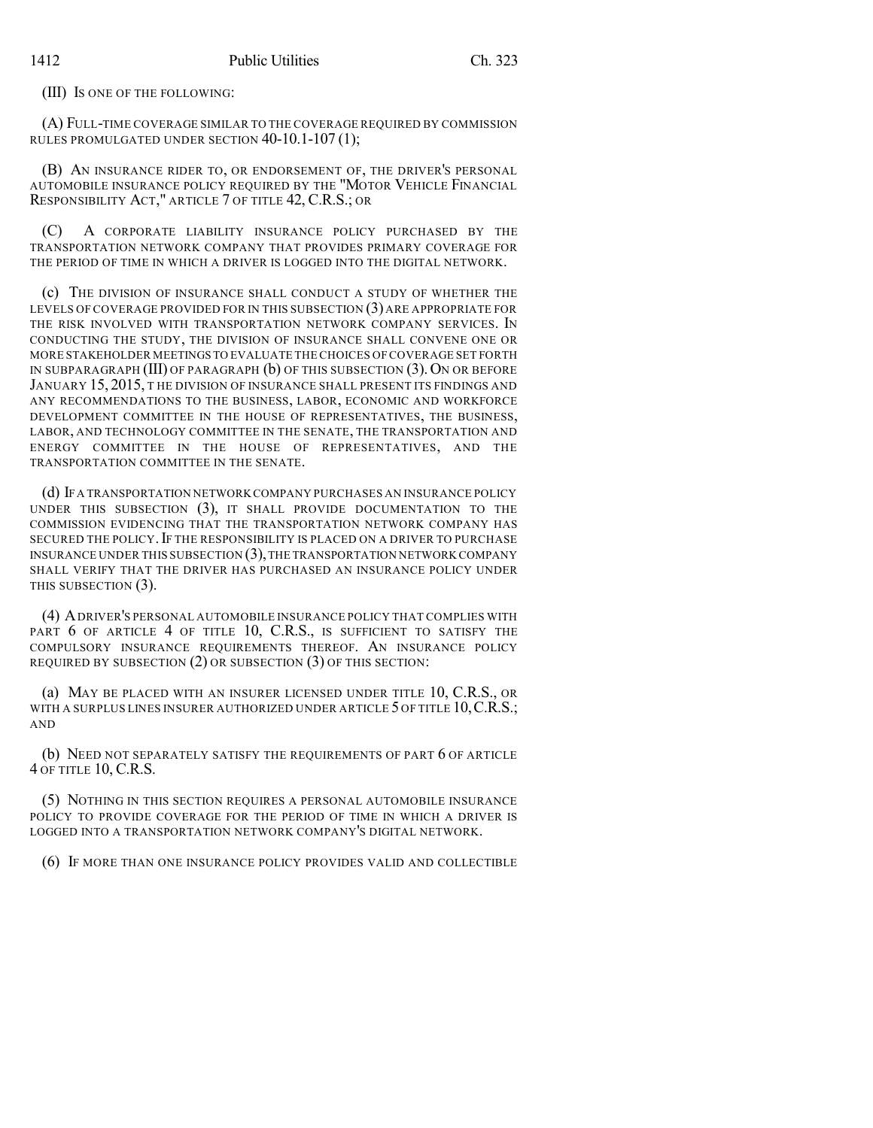(III) IS ONE OF THE FOLLOWING:

(A) FULL-TIME COVERAGE SIMILAR TO THE COVERAGE REQUIRED BY COMMISSION RULES PROMULGATED UNDER SECTION 40-10.1-107 (1);

(B) AN INSURANCE RIDER TO, OR ENDORSEMENT OF, THE DRIVER'S PERSONAL AUTOMOBILE INSURANCE POLICY REQUIRED BY THE "MOTOR VEHICLE FINANCIAL RESPONSIBILITY ACT," ARTICLE 7 OF TITLE 42, C.R.S.; OR

(C) A CORPORATE LIABILITY INSURANCE POLICY PURCHASED BY THE TRANSPORTATION NETWORK COMPANY THAT PROVIDES PRIMARY COVERAGE FOR THE PERIOD OF TIME IN WHICH A DRIVER IS LOGGED INTO THE DIGITAL NETWORK.

(c) THE DIVISION OF INSURANCE SHALL CONDUCT A STUDY OF WHETHER THE LEVELS OF COVERAGE PROVIDED FOR IN THIS SUBSECTION (3) ARE APPROPRIATE FOR THE RISK INVOLVED WITH TRANSPORTATION NETWORK COMPANY SERVICES. IN CONDUCTING THE STUDY, THE DIVISION OF INSURANCE SHALL CONVENE ONE OR MORE STAKEHOLDER MEETINGS TO EVALUATE THE CHOICES OF COVERAGE SET FORTH IN SUBPARAGRAPH (III) OF PARAGRAPH (b) OF THIS SUBSECTION (3). ON OR BEFORE JANUARY 15, 2015, THE DIVISION OF INSURANCE SHALL PRESENT ITS FINDINGS AND ANY RECOMMENDATIONS TO THE BUSINESS, LABOR, ECONOMIC AND WORKFORCE DEVELOPMENT COMMITTEE IN THE HOUSE OF REPRESENTATIVES, THE BUSINESS, LABOR, AND TECHNOLOGY COMMITTEE IN THE SENATE, THE TRANSPORTATION AND ENERGY COMMITTEE IN THE HOUSE OF REPRESENTATIVES, AND THE TRANSPORTATION COMMITTEE IN THE SENATE.

(d) IFA TRANSPORTATION NETWORK COMPANY PURCHASES AN INSURANCE POLICY UNDER THIS SUBSECTION (3), IT SHALL PROVIDE DOCUMENTATION TO THE COMMISSION EVIDENCING THAT THE TRANSPORTATION NETWORK COMPANY HAS SECURED THE POLICY. IF THE RESPONSIBILITY IS PLACED ON A DRIVER TO PURCHASE INSURANCE UNDER THIS SUBSECTION  $(3)$ , THE TRANSPORTATION NETWORK COMPANY SHALL VERIFY THAT THE DRIVER HAS PURCHASED AN INSURANCE POLICY UNDER THIS SUBSECTION (3).

(4) ADRIVER'S PERSONAL AUTOMOBILE INSURANCE POLICY THAT COMPLIES WITH PART 6 OF ARTICLE 4 OF TITLE 10, C.R.S., IS SUFFICIENT TO SATISFY THE COMPULSORY INSURANCE REQUIREMENTS THEREOF. AN INSURANCE POLICY REQUIRED BY SUBSECTION (2) OR SUBSECTION (3) OF THIS SECTION:

(a) MAY BE PLACED WITH AN INSURER LICENSED UNDER TITLE 10, C.R.S., OR WITH A SURPLUS LINES INSURER AUTHORIZED UNDER ARTICLE 5 OF TITLE 10, C.R.S.; AND

(b) NEED NOT SEPARATELY SATISFY THE REQUIREMENTS OF PART 6 OF ARTICLE 4 OF TITLE 10, C.R.S.

(5) NOTHING IN THIS SECTION REQUIRES A PERSONAL AUTOMOBILE INSURANCE POLICY TO PROVIDE COVERAGE FOR THE PERIOD OF TIME IN WHICH A DRIVER IS LOGGED INTO A TRANSPORTATION NETWORK COMPANY'S DIGITAL NETWORK.

(6) IF MORE THAN ONE INSURANCE POLICY PROVIDES VALID AND COLLECTIBLE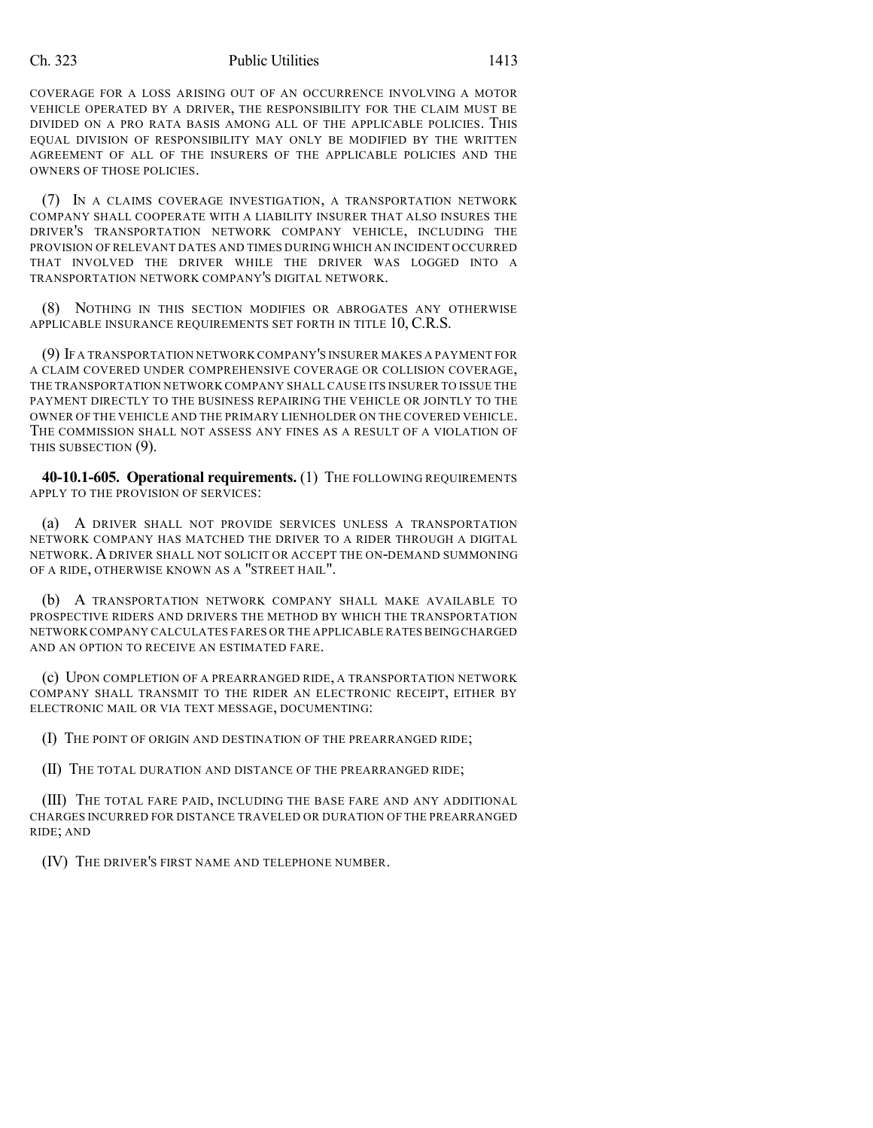#### Ch. 323 Public Utilities 1413

COVERAGE FOR A LOSS ARISING OUT OF AN OCCURRENCE INVOLVING A MOTOR VEHICLE OPERATED BY A DRIVER, THE RESPONSIBILITY FOR THE CLAIM MUST BE DIVIDED ON A PRO RATA BASIS AMONG ALL OF THE APPLICABLE POLICIES. THIS EQUAL DIVISION OF RESPONSIBILITY MAY ONLY BE MODIFIED BY THE WRITTEN AGREEMENT OF ALL OF THE INSURERS OF THE APPLICABLE POLICIES AND THE OWNERS OF THOSE POLICIES.

(7) IN A CLAIMS COVERAGE INVESTIGATION, A TRANSPORTATION NETWORK COMPANY SHALL COOPERATE WITH A LIABILITY INSURER THAT ALSO INSURES THE DRIVER'S TRANSPORTATION NETWORK COMPANY VEHICLE, INCLUDING THE PROVISION OF RELEVANT DATES AND TIMES DURING WHICH AN INCIDENT OCCURRED THAT INVOLVED THE DRIVER WHILE THE DRIVER WAS LOGGED INTO A TRANSPORTATION NETWORK COMPANY'S DIGITAL NETWORK.

(8) NOTHING IN THIS SECTION MODIFIES OR ABROGATES ANY OTHERWISE APPLICABLE INSURANCE REQUIREMENTS SET FORTH IN TITLE 10, C.R.S.

(9) IF A TRANSPORTATION NETWORK COMPANY'S INSURER MAKES A PAYMENT FOR A CLAIM COVERED UNDER COMPREHENSIVE COVERAGE OR COLLISION COVERAGE, THE TRANSPORTATION NETWORK COMPANY SHALL CAUSE ITS INSURER TO ISSUE THE PAYMENT DIRECTLY TO THE BUSINESS REPAIRING THE VEHICLE OR JOINTLY TO THE OWNER OF THE VEHICLE AND THE PRIMARY LIENHOLDER ON THE COVERED VEHICLE. THE COMMISSION SHALL NOT ASSESS ANY FINES AS A RESULT OF A VIOLATION OF THIS SUBSECTION (9).

**40-10.1-605. Operational requirements.** (1) THE FOLLOWING REQUIREMENTS APPLY TO THE PROVISION OF SERVICES:

(a) A DRIVER SHALL NOT PROVIDE SERVICES UNLESS A TRANSPORTATION NETWORK COMPANY HAS MATCHED THE DRIVER TO A RIDER THROUGH A DIGITAL NETWORK. ADRIVER SHALL NOT SOLICIT OR ACCEPT THE ON-DEMAND SUMMONING OF A RIDE, OTHERWISE KNOWN AS A "STREET HAIL".

(b) A TRANSPORTATION NETWORK COMPANY SHALL MAKE AVAILABLE TO PROSPECTIVE RIDERS AND DRIVERS THE METHOD BY WHICH THE TRANSPORTATION NETWORK COMPANY CALCULATES FARES OR THE APPLICABLE RATES BEING CHARGED AND AN OPTION TO RECEIVE AN ESTIMATED FARE.

(c) UPON COMPLETION OF A PREARRANGED RIDE, A TRANSPORTATION NETWORK COMPANY SHALL TRANSMIT TO THE RIDER AN ELECTRONIC RECEIPT, EITHER BY ELECTRONIC MAIL OR VIA TEXT MESSAGE, DOCUMENTING:

(I) THE POINT OF ORIGIN AND DESTINATION OF THE PREARRANGED RIDE;

(II) THE TOTAL DURATION AND DISTANCE OF THE PREARRANGED RIDE;

(III) THE TOTAL FARE PAID, INCLUDING THE BASE FARE AND ANY ADDITIONAL CHARGES INCURRED FOR DISTANCE TRAVELED OR DURATION OF THE PREARRANGED RIDE; AND

(IV) THE DRIVER'S FIRST NAME AND TELEPHONE NUMBER.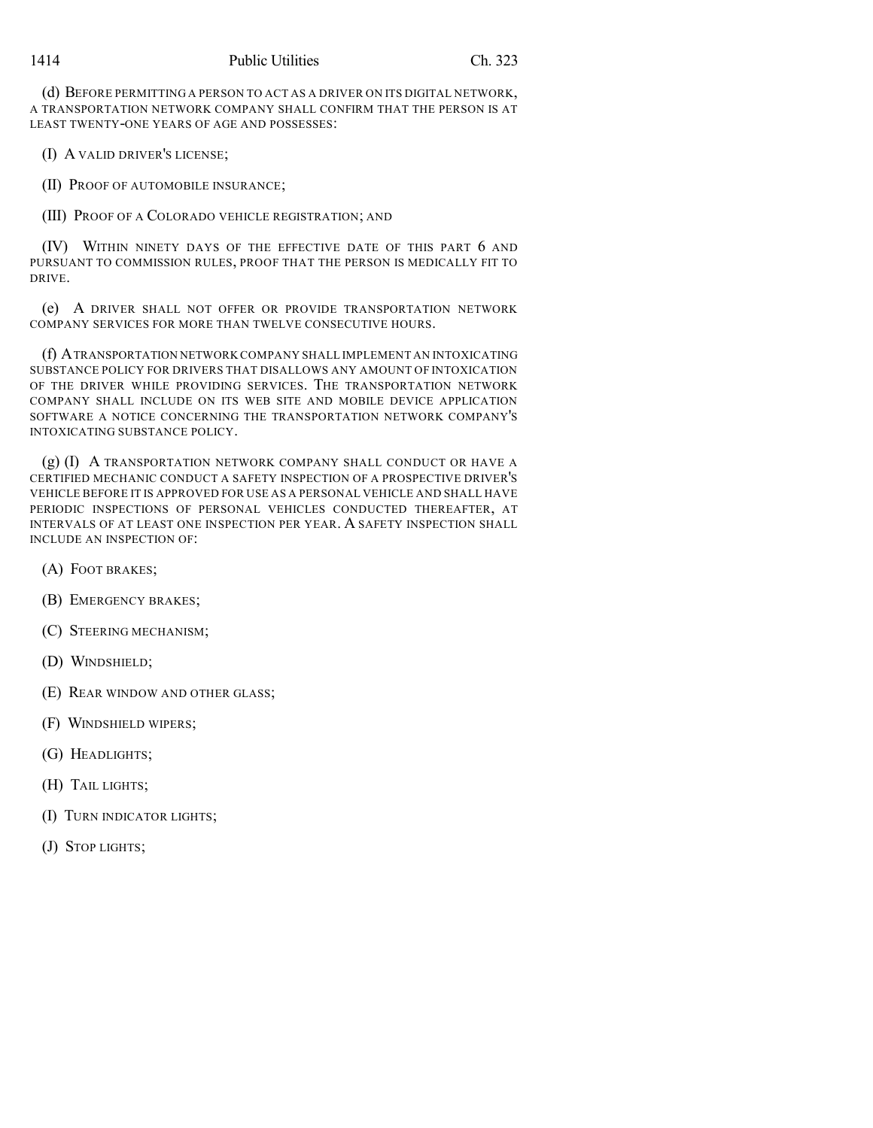(d) BEFORE PERMITTING A PERSON TO ACT AS A DRIVER ON ITS DIGITAL NETWORK, A TRANSPORTATION NETWORK COMPANY SHALL CONFIRM THAT THE PERSON IS AT LEAST TWENTY-ONE YEARS OF AGE AND POSSESSES:

(I) A VALID DRIVER'S LICENSE;

(II) PROOF OF AUTOMOBILE INSURANCE;

(III) PROOF OF A COLORADO VEHICLE REGISTRATION; AND

(IV) WITHIN NINETY DAYS OF THE EFFECTIVE DATE OF THIS PART 6 AND PURSUANT TO COMMISSION RULES, PROOF THAT THE PERSON IS MEDICALLY FIT TO DRIVE.

(e) A DRIVER SHALL NOT OFFER OR PROVIDE TRANSPORTATION NETWORK COMPANY SERVICES FOR MORE THAN TWELVE CONSECUTIVE HOURS.

(f) ATRANSPORTATION NETWORK COMPANY SHALL IMPLEMENT AN INTOXICATING SUBSTANCE POLICY FOR DRIVERS THAT DISALLOWS ANY AMOUNT OF INTOXICATION OF THE DRIVER WHILE PROVIDING SERVICES. THE TRANSPORTATION NETWORK COMPANY SHALL INCLUDE ON ITS WEB SITE AND MOBILE DEVICE APPLICATION SOFTWARE A NOTICE CONCERNING THE TRANSPORTATION NETWORK COMPANY'S INTOXICATING SUBSTANCE POLICY.

(g) (I) A TRANSPORTATION NETWORK COMPANY SHALL CONDUCT OR HAVE A CERTIFIED MECHANIC CONDUCT A SAFETY INSPECTION OF A PROSPECTIVE DRIVER'S VEHICLE BEFORE IT IS APPROVED FOR USE AS A PERSONAL VEHICLE AND SHALL HAVE PERIODIC INSPECTIONS OF PERSONAL VEHICLES CONDUCTED THEREAFTER, AT INTERVALS OF AT LEAST ONE INSPECTION PER YEAR. A SAFETY INSPECTION SHALL INCLUDE AN INSPECTION OF:

- (A) FOOT BRAKES;
- (B) EMERGENCY BRAKES;
- (C) STEERING MECHANISM;
- (D) WINDSHIELD;
- (E) REAR WINDOW AND OTHER GLASS;
- (F) WINDSHIELD WIPERS;
- (G) HEADLIGHTS;
- (H) TAIL LIGHTS;
- (I) TURN INDICATOR LIGHTS;
- (J) STOP LIGHTS;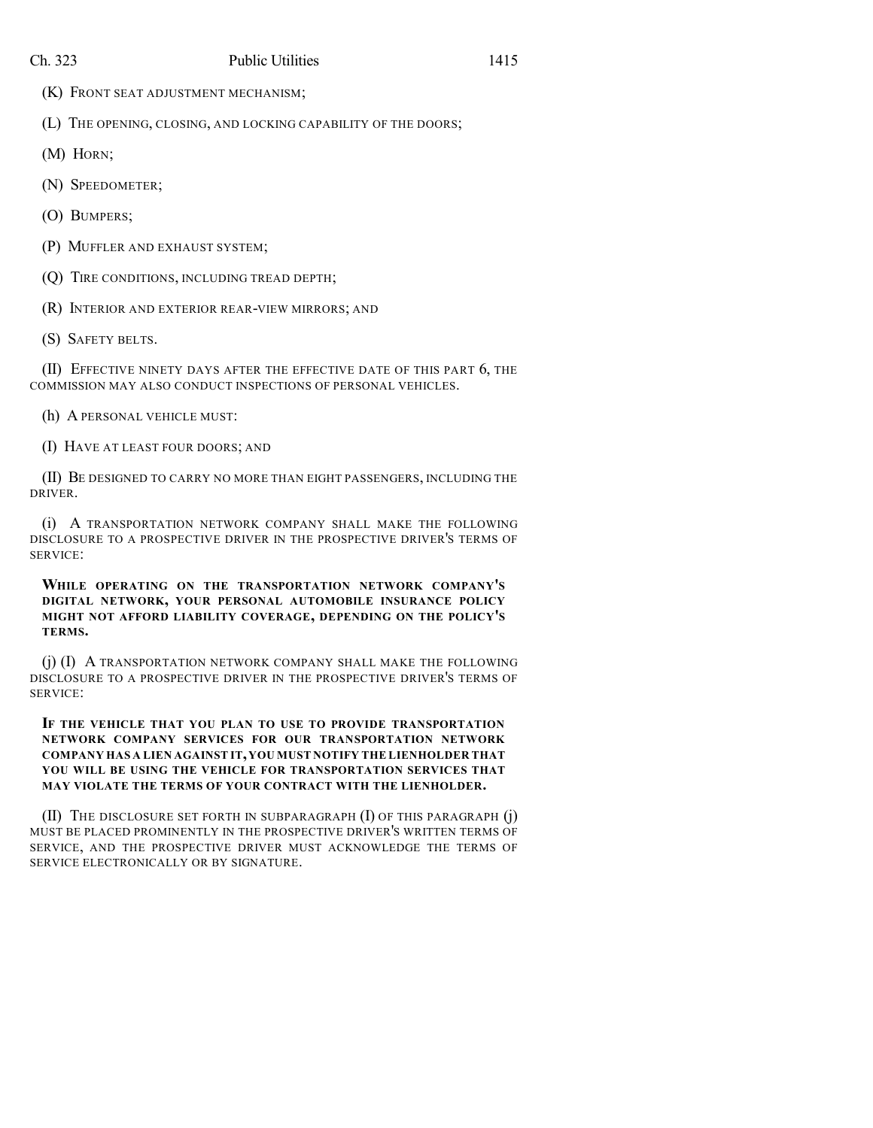(K) FRONT SEAT ADJUSTMENT MECHANISM;

(L) THE OPENING, CLOSING, AND LOCKING CAPABILITY OF THE DOORS;

- (M) HORN;
- (N) SPEEDOMETER;
- (O) BUMPERS;
- (P) MUFFLER AND EXHAUST SYSTEM;
- (Q) TIRE CONDITIONS, INCLUDING TREAD DEPTH;
- (R) INTERIOR AND EXTERIOR REAR-VIEW MIRRORS; AND
- (S) SAFETY BELTS.

(II) EFFECTIVE NINETY DAYS AFTER THE EFFECTIVE DATE OF THIS PART 6, THE COMMISSION MAY ALSO CONDUCT INSPECTIONS OF PERSONAL VEHICLES.

- (h) A PERSONAL VEHICLE MUST:
- (I) HAVE AT LEAST FOUR DOORS; AND

(II) BE DESIGNED TO CARRY NO MORE THAN EIGHT PASSENGERS, INCLUDING THE DRIVER.

(i) A TRANSPORTATION NETWORK COMPANY SHALL MAKE THE FOLLOWING DISCLOSURE TO A PROSPECTIVE DRIVER IN THE PROSPECTIVE DRIVER'S TERMS OF SERVICE:

**WHILE OPERATING ON THE TRANSPORTATION NETWORK COMPANY'S DIGITAL NETWORK, YOUR PERSONAL AUTOMOBILE INSURANCE POLICY MIGHT NOT AFFORD LIABILITY COVERAGE, DEPENDING ON THE POLICY'S TERMS.**

(j) (I) A TRANSPORTATION NETWORK COMPANY SHALL MAKE THE FOLLOWING DISCLOSURE TO A PROSPECTIVE DRIVER IN THE PROSPECTIVE DRIVER'S TERMS OF SERVICE:

## **IF THE VEHICLE THAT YOU PLAN TO USE TO PROVIDE TRANSPORTATION NETWORK COMPANY SERVICES FOR OUR TRANSPORTATION NETWORK COMPANY HAS A LIEN AGAINST IT,YOU MUST NOTIFY THE LIENHOLDER THAT YOU WILL BE USING THE VEHICLE FOR TRANSPORTATION SERVICES THAT MAY VIOLATE THE TERMS OF YOUR CONTRACT WITH THE LIENHOLDER.**

(II) THE DISCLOSURE SET FORTH IN SUBPARAGRAPH (I) OF THIS PARAGRAPH (j) MUST BE PLACED PROMINENTLY IN THE PROSPECTIVE DRIVER'S WRITTEN TERMS OF SERVICE, AND THE PROSPECTIVE DRIVER MUST ACKNOWLEDGE THE TERMS OF SERVICE ELECTRONICALLY OR BY SIGNATURE.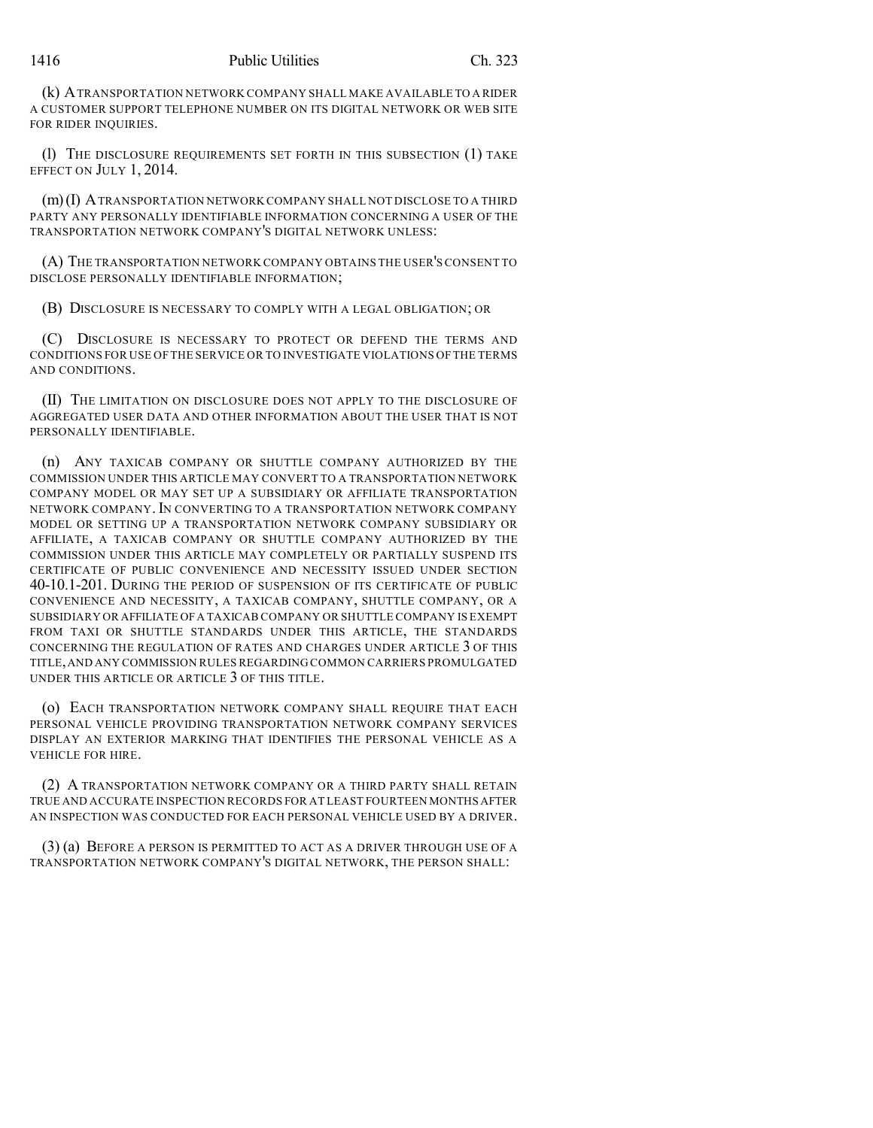(k) ATRANSPORTATION NETWORK COMPANY SHALL MAKE AVAILABLE TO A RIDER A CUSTOMER SUPPORT TELEPHONE NUMBER ON ITS DIGITAL NETWORK OR WEB SITE FOR RIDER INQUIRIES.

(l) THE DISCLOSURE REQUIREMENTS SET FORTH IN THIS SUBSECTION (1) TAKE EFFECT ON JULY 1, 2014.

(m)(I) ATRANSPORTATION NETWORK COMPANY SHALL NOT DISCLOSE TO A THIRD PARTY ANY PERSONALLY IDENTIFIABLE INFORMATION CONCERNING A USER OF THE TRANSPORTATION NETWORK COMPANY'S DIGITAL NETWORK UNLESS:

(A) THE TRANSPORTATION NETWORK COMPANY OBTAINS THE USER'S CONSENT TO DISCLOSE PERSONALLY IDENTIFIABLE INFORMATION;

(B) DISCLOSURE IS NECESSARY TO COMPLY WITH A LEGAL OBLIGATION; OR

(C) DISCLOSURE IS NECESSARY TO PROTECT OR DEFEND THE TERMS AND CONDITIONS FOR USE OF THE SERVICE OR TO INVESTIGATE VIOLATIONS OF THE TERMS AND CONDITIONS.

(II) THE LIMITATION ON DISCLOSURE DOES NOT APPLY TO THE DISCLOSURE OF AGGREGATED USER DATA AND OTHER INFORMATION ABOUT THE USER THAT IS NOT PERSONALLY IDENTIFIABLE.

(n) ANY TAXICAB COMPANY OR SHUTTLE COMPANY AUTHORIZED BY THE COMMISSION UNDER THIS ARTICLE MAY CONVERT TO A TRANSPORTATION NETWORK COMPANY MODEL OR MAY SET UP A SUBSIDIARY OR AFFILIATE TRANSPORTATION NETWORK COMPANY.IN CONVERTING TO A TRANSPORTATION NETWORK COMPANY MODEL OR SETTING UP A TRANSPORTATION NETWORK COMPANY SUBSIDIARY OR AFFILIATE, A TAXICAB COMPANY OR SHUTTLE COMPANY AUTHORIZED BY THE COMMISSION UNDER THIS ARTICLE MAY COMPLETELY OR PARTIALLY SUSPEND ITS CERTIFICATE OF PUBLIC CONVENIENCE AND NECESSITY ISSUED UNDER SECTION 40-10.1-201. DURING THE PERIOD OF SUSPENSION OF ITS CERTIFICATE OF PUBLIC CONVENIENCE AND NECESSITY, A TAXICAB COMPANY, SHUTTLE COMPANY, OR A SUBSIDIARY OR AFFILIATE OFA TAXICAB COMPANY OR SHUTTLE COMPANY IS EXEMPT FROM TAXI OR SHUTTLE STANDARDS UNDER THIS ARTICLE, THE STANDARDS CONCERNING THE REGULATION OF RATES AND CHARGES UNDER ARTICLE 3 OF THIS TITLE,AND ANY COMMISSION RULES REGARDING COMMON CARRIERS PROMULGATED UNDER THIS ARTICLE OR ARTICLE 3 OF THIS TITLE.

(o) EACH TRANSPORTATION NETWORK COMPANY SHALL REQUIRE THAT EACH PERSONAL VEHICLE PROVIDING TRANSPORTATION NETWORK COMPANY SERVICES DISPLAY AN EXTERIOR MARKING THAT IDENTIFIES THE PERSONAL VEHICLE AS A VEHICLE FOR HIRE.

(2) A TRANSPORTATION NETWORK COMPANY OR A THIRD PARTY SHALL RETAIN TRUE AND ACCURATE INSPECTION RECORDS FOR AT LEAST FOURTEEN MONTHS AFTER AN INSPECTION WAS CONDUCTED FOR EACH PERSONAL VEHICLE USED BY A DRIVER.

(3) (a) BEFORE A PERSON IS PERMITTED TO ACT AS A DRIVER THROUGH USE OF A TRANSPORTATION NETWORK COMPANY'S DIGITAL NETWORK, THE PERSON SHALL: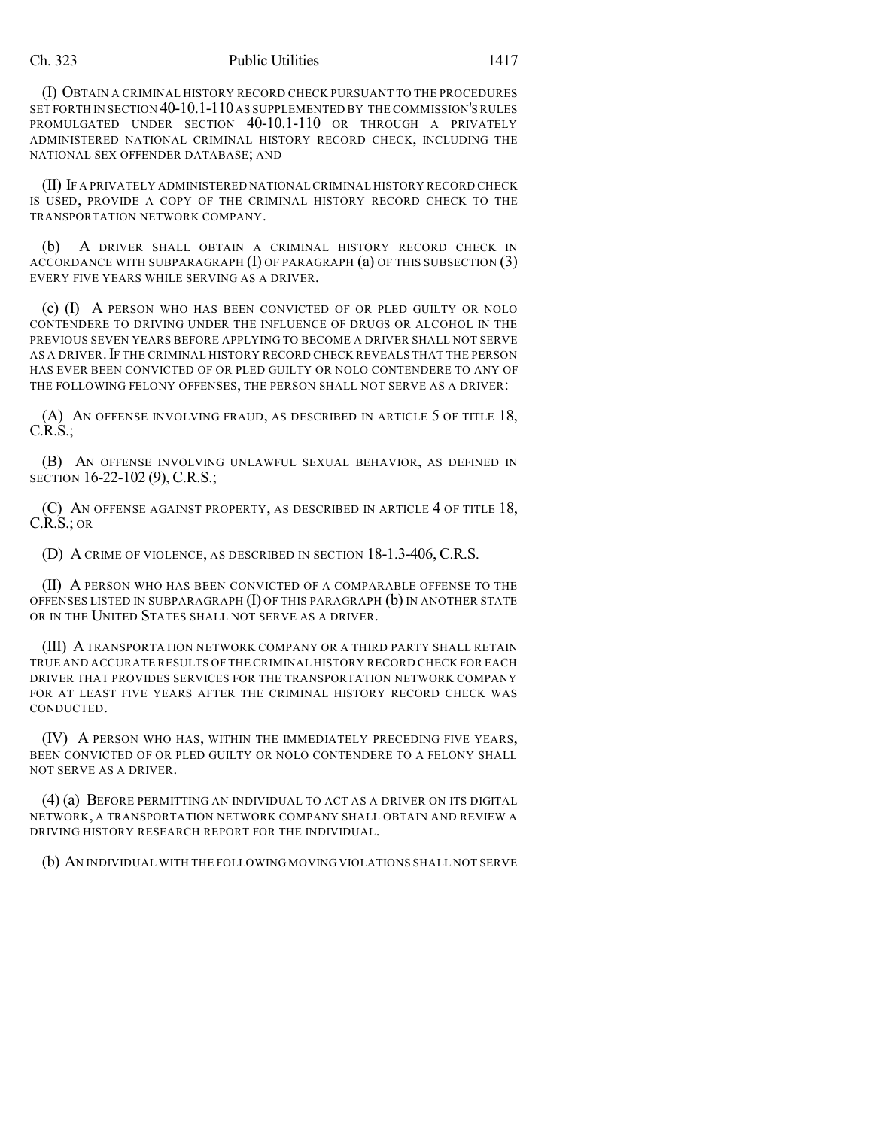#### Ch. 323 Public Utilities 1417

(I) OBTAIN A CRIMINAL HISTORY RECORD CHECK PURSUANT TO THE PROCEDURES SET FORTH IN SECTION 40-10.1-110 AS SUPPLEMENTED BY THE COMMISSION'S RULES PROMULGATED UNDER SECTION 40-10.1-110 OR THROUGH A PRIVATELY ADMINISTERED NATIONAL CRIMINAL HISTORY RECORD CHECK, INCLUDING THE NATIONAL SEX OFFENDER DATABASE; AND

(II) IF A PRIVATELY ADMINISTERED NATIONAL CRIMINAL HISTORY RECORD CHECK IS USED, PROVIDE A COPY OF THE CRIMINAL HISTORY RECORD CHECK TO THE TRANSPORTATION NETWORK COMPANY.

(b) A DRIVER SHALL OBTAIN A CRIMINAL HISTORY RECORD CHECK IN ACCORDANCE WITH SUBPARAGRAPH  $(I)$  OF PARAGRAPH  $(a)$  OF THIS SUBSECTION  $(3)$ EVERY FIVE YEARS WHILE SERVING AS A DRIVER.

(c) (I) A PERSON WHO HAS BEEN CONVICTED OF OR PLED GUILTY OR NOLO CONTENDERE TO DRIVING UNDER THE INFLUENCE OF DRUGS OR ALCOHOL IN THE PREVIOUS SEVEN YEARS BEFORE APPLYING TO BECOME A DRIVER SHALL NOT SERVE AS A DRIVER.IF THE CRIMINAL HISTORY RECORD CHECK REVEALS THAT THE PERSON HAS EVER BEEN CONVICTED OF OR PLED GUILTY OR NOLO CONTENDERE TO ANY OF THE FOLLOWING FELONY OFFENSES, THE PERSON SHALL NOT SERVE AS A DRIVER:

(A) AN OFFENSE INVOLVING FRAUD, AS DESCRIBED IN ARTICLE 5 OF TITLE 18,  $C.R.S.:$ 

(B) AN OFFENSE INVOLVING UNLAWFUL SEXUAL BEHAVIOR, AS DEFINED IN SECTION 16-22-102 (9), C.R.S.;

(C) AN OFFENSE AGAINST PROPERTY, AS DESCRIBED IN ARTICLE 4 OF TITLE 18, C.R.S.; OR

(D) A CRIME OF VIOLENCE, AS DESCRIBED IN SECTION 18-1.3-406, C.R.S.

(II) A PERSON WHO HAS BEEN CONVICTED OF A COMPARABLE OFFENSE TO THE OFFENSES LISTED IN SUBPARAGRAPH  $(I)$  of this paragraph  $(b)$  in another state OR IN THE UNITED STATES SHALL NOT SERVE AS A DRIVER.

(III) A TRANSPORTATION NETWORK COMPANY OR A THIRD PARTY SHALL RETAIN TRUE AND ACCURATE RESULTS OF THE CRIMINAL HISTORY RECORD CHECK FOR EACH DRIVER THAT PROVIDES SERVICES FOR THE TRANSPORTATION NETWORK COMPANY FOR AT LEAST FIVE YEARS AFTER THE CRIMINAL HISTORY RECORD CHECK WAS CONDUCTED.

(IV) A PERSON WHO HAS, WITHIN THE IMMEDIATELY PRECEDING FIVE YEARS, BEEN CONVICTED OF OR PLED GUILTY OR NOLO CONTENDERE TO A FELONY SHALL NOT SERVE AS A DRIVER.

(4) (a) BEFORE PERMITTING AN INDIVIDUAL TO ACT AS A DRIVER ON ITS DIGITAL NETWORK, A TRANSPORTATION NETWORK COMPANY SHALL OBTAIN AND REVIEW A DRIVING HISTORY RESEARCH REPORT FOR THE INDIVIDUAL.

(b) AN INDIVIDUAL WITH THE FOLLOWING MOVING VIOLATIONS SHALL NOT SERVE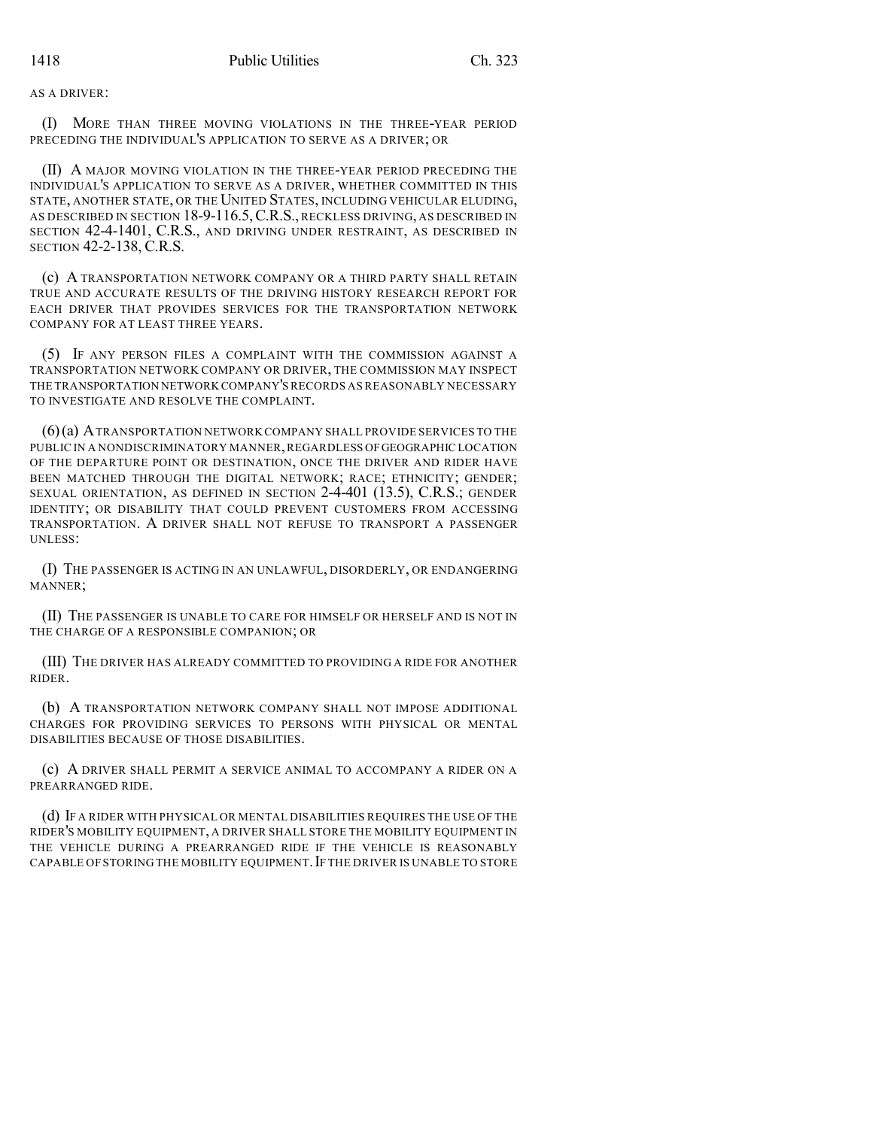AS A DRIVER:

(I) MORE THAN THREE MOVING VIOLATIONS IN THE THREE-YEAR PERIOD PRECEDING THE INDIVIDUAL'S APPLICATION TO SERVE AS A DRIVER; OR

(II) A MAJOR MOVING VIOLATION IN THE THREE-YEAR PERIOD PRECEDING THE INDIVIDUAL'S APPLICATION TO SERVE AS A DRIVER, WHETHER COMMITTED IN THIS STATE, ANOTHER STATE, OR THE UNITED STATES, INCLUDING VEHICULAR ELUDING, AS DESCRIBED IN SECTION 18-9-116.5, C.R.S., RECKLESS DRIVING, AS DESCRIBED IN SECTION 42-4-1401, C.R.S., AND DRIVING UNDER RESTRAINT, AS DESCRIBED IN SECTION 42-2-138, C.R.S.

(c) A TRANSPORTATION NETWORK COMPANY OR A THIRD PARTY SHALL RETAIN TRUE AND ACCURATE RESULTS OF THE DRIVING HISTORY RESEARCH REPORT FOR EACH DRIVER THAT PROVIDES SERVICES FOR THE TRANSPORTATION NETWORK COMPANY FOR AT LEAST THREE YEARS.

(5) IF ANY PERSON FILES A COMPLAINT WITH THE COMMISSION AGAINST A TRANSPORTATION NETWORK COMPANY OR DRIVER, THE COMMISSION MAY INSPECT THE TRANSPORTATION NETWORK COMPANY'SRECORDS AS REASONABLY NECESSARY TO INVESTIGATE AND RESOLVE THE COMPLAINT.

(6)(a) ATRANSPORTATION NETWORK COMPANY SHALL PROVIDE SERVICES TO THE PUBLIC IN A NONDISCRIMINATORY MANNER, REGARDLESS OF GEOGRAPHIC LOCATION OF THE DEPARTURE POINT OR DESTINATION, ONCE THE DRIVER AND RIDER HAVE BEEN MATCHED THROUGH THE DIGITAL NETWORK; RACE; ETHNICITY; GENDER; SEXUAL ORIENTATION, AS DEFINED IN SECTION 2-4-401 (13.5), C.R.S.; GENDER IDENTITY; OR DISABILITY THAT COULD PREVENT CUSTOMERS FROM ACCESSING TRANSPORTATION. A DRIVER SHALL NOT REFUSE TO TRANSPORT A PASSENGER UNLESS:

(I) THE PASSENGER IS ACTING IN AN UNLAWFUL, DISORDERLY, OR ENDANGERING MANNER;

(II) THE PASSENGER IS UNABLE TO CARE FOR HIMSELF OR HERSELF AND IS NOT IN THE CHARGE OF A RESPONSIBLE COMPANION; OR

(III) THE DRIVER HAS ALREADY COMMITTED TO PROVIDING A RIDE FOR ANOTHER RIDER.

(b) A TRANSPORTATION NETWORK COMPANY SHALL NOT IMPOSE ADDITIONAL CHARGES FOR PROVIDING SERVICES TO PERSONS WITH PHYSICAL OR MENTAL DISABILITIES BECAUSE OF THOSE DISABILITIES.

(c) A DRIVER SHALL PERMIT A SERVICE ANIMAL TO ACCOMPANY A RIDER ON A PREARRANGED RIDE.

(d) IF A RIDER WITH PHYSICAL OR MENTAL DISABILITIES REQUIRES THE USE OF THE RIDER'S MOBILITY EQUIPMENT, A DRIVER SHALL STORE THE MOBILITY EQUIPMENT IN THE VEHICLE DURING A PREARRANGED RIDE IF THE VEHICLE IS REASONABLY CAPABLE OF STORING THE MOBILITY EQUIPMENT. IF THE DRIVER IS UNABLE TO STORE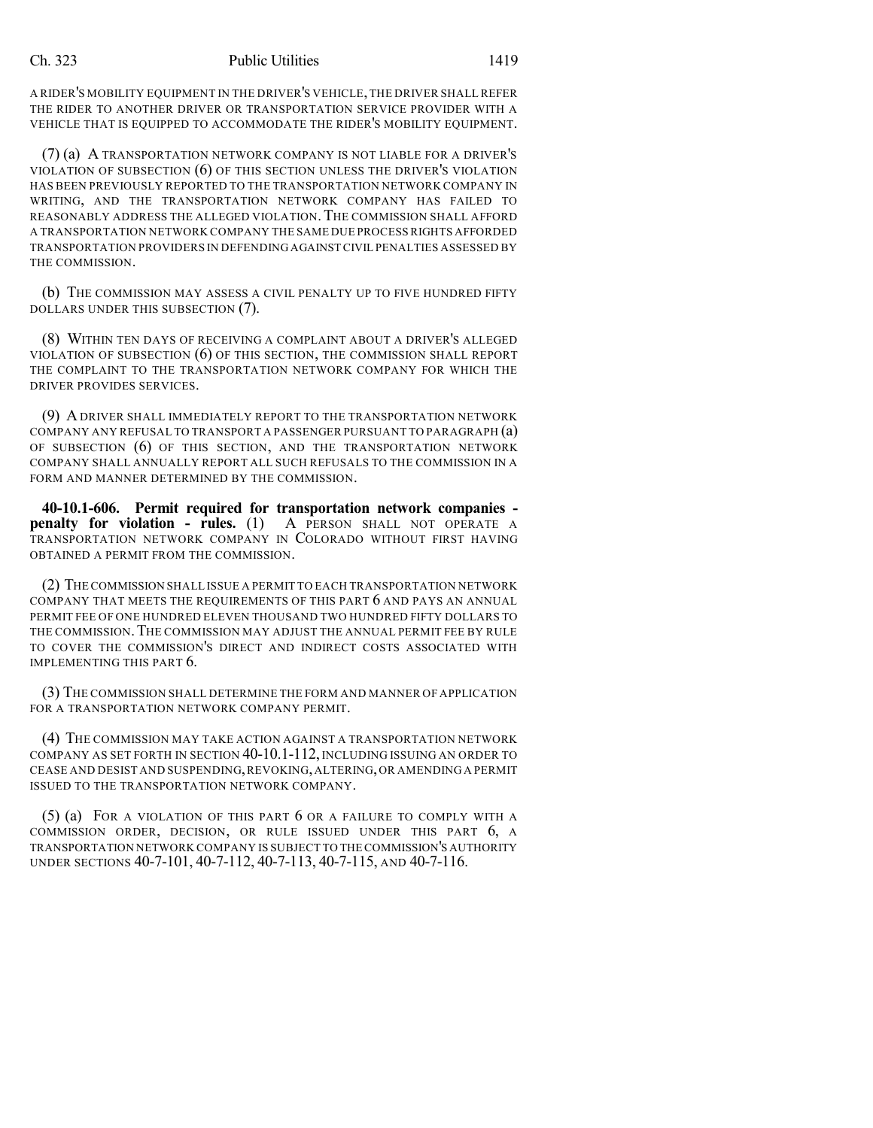A RIDER'S MOBILITY EQUIPMENT IN THE DRIVER'S VEHICLE,THE DRIVER SHALL REFER THE RIDER TO ANOTHER DRIVER OR TRANSPORTATION SERVICE PROVIDER WITH A VEHICLE THAT IS EQUIPPED TO ACCOMMODATE THE RIDER'S MOBILITY EQUIPMENT.

(7) (a) A TRANSPORTATION NETWORK COMPANY IS NOT LIABLE FOR A DRIVER'S VIOLATION OF SUBSECTION (6) OF THIS SECTION UNLESS THE DRIVER'S VIOLATION HAS BEEN PREVIOUSLY REPORTED TO THE TRANSPORTATION NETWORK COMPANY IN WRITING, AND THE TRANSPORTATION NETWORK COMPANY HAS FAILED TO REASONABLY ADDRESS THE ALLEGED VIOLATION.THE COMMISSION SHALL AFFORD A TRANSPORTATION NETWORK COMPANY THE SAME DUE PROCESSRIGHTS AFFORDED TRANSPORTATION PROVIDERS IN DEFENDING AGAINST CIVIL PENALTIES ASSESSED BY THE COMMISSION.

(b) THE COMMISSION MAY ASSESS A CIVIL PENALTY UP TO FIVE HUNDRED FIFTY DOLLARS UNDER THIS SUBSECTION (7).

(8) WITHIN TEN DAYS OF RECEIVING A COMPLAINT ABOUT A DRIVER'S ALLEGED VIOLATION OF SUBSECTION (6) OF THIS SECTION, THE COMMISSION SHALL REPORT THE COMPLAINT TO THE TRANSPORTATION NETWORK COMPANY FOR WHICH THE DRIVER PROVIDES SERVICES.

(9) ADRIVER SHALL IMMEDIATELY REPORT TO THE TRANSPORTATION NETWORK COMPANY ANY REFUSAL TO TRANSPORT A PASSENGER PURSUANT TO PARAGRAPH (a) OF SUBSECTION (6) OF THIS SECTION, AND THE TRANSPORTATION NETWORK COMPANY SHALL ANNUALLY REPORT ALL SUCH REFUSALS TO THE COMMISSION IN A FORM AND MANNER DETERMINED BY THE COMMISSION.

**40-10.1-606. Permit required for transportation network companies penalty for violation - rules.** (1) A PERSON SHALL NOT OPERATE A TRANSPORTATION NETWORK COMPANY IN COLORADO WITHOUT FIRST HAVING OBTAINED A PERMIT FROM THE COMMISSION.

(2) THE COMMISSION SHALL ISSUE A PERMIT TO EACH TRANSPORTATION NETWORK COMPANY THAT MEETS THE REQUIREMENTS OF THIS PART 6 AND PAYS AN ANNUAL PERMIT FEE OF ONE HUNDRED ELEVEN THOUSAND TWO HUNDRED FIFTY DOLLARS TO THE COMMISSION.THE COMMISSION MAY ADJUST THE ANNUAL PERMIT FEE BY RULE TO COVER THE COMMISSION'S DIRECT AND INDIRECT COSTS ASSOCIATED WITH IMPLEMENTING THIS PART 6.

(3) THE COMMISSION SHALL DETERMINE THE FORM AND MANNER OF APPLICATION FOR A TRANSPORTATION NETWORK COMPANY PERMIT.

(4) THE COMMISSION MAY TAKE ACTION AGAINST A TRANSPORTATION NETWORK COMPANY AS SET FORTH IN SECTION 40-10.1-112, INCLUDING ISSUING AN ORDER TO CEASE AND DESIST AND SUSPENDING,REVOKING,ALTERING,OR AMENDING A PERMIT ISSUED TO THE TRANSPORTATION NETWORK COMPANY.

(5) (a) FOR A VIOLATION OF THIS PART 6 OR A FAILURE TO COMPLY WITH A COMMISSION ORDER, DECISION, OR RULE ISSUED UNDER THIS PART 6, A TRANSPORTATION NETWORK COMPANY IS SUBJECT TO THE COMMISSION'S AUTHORITY UNDER SECTIONS 40-7-101, 40-7-112, 40-7-113, 40-7-115, AND 40-7-116.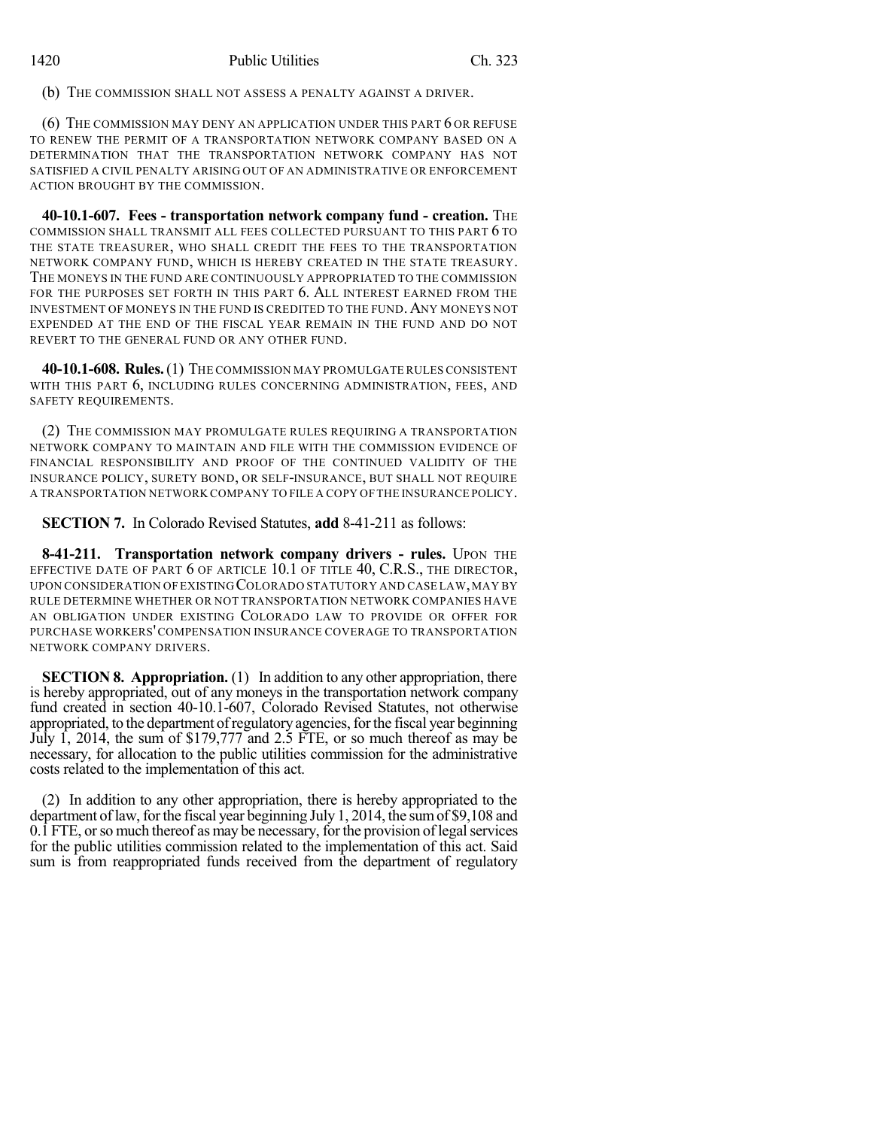(b) THE COMMISSION SHALL NOT ASSESS A PENALTY AGAINST A DRIVER.

(6) THE COMMISSION MAY DENY AN APPLICATION UNDER THIS PART 6 OR REFUSE TO RENEW THE PERMIT OF A TRANSPORTATION NETWORK COMPANY BASED ON A DETERMINATION THAT THE TRANSPORTATION NETWORK COMPANY HAS NOT SATISFIED A CIVIL PENALTY ARISING OUT OF AN ADMINISTRATIVE OR ENFORCEMENT ACTION BROUGHT BY THE COMMISSION.

**40-10.1-607. Fees - transportation network company fund - creation.** THE COMMISSION SHALL TRANSMIT ALL FEES COLLECTED PURSUANT TO THIS PART 6 TO THE STATE TREASURER, WHO SHALL CREDIT THE FEES TO THE TRANSPORTATION NETWORK COMPANY FUND, WHICH IS HEREBY CREATED IN THE STATE TREASURY. THE MONEYS IN THE FUND ARE CONTINUOUSLY APPROPRIATED TO THE COMMISSION FOR THE PURPOSES SET FORTH IN THIS PART 6. ALL INTEREST EARNED FROM THE INVESTMENT OF MONEYS IN THE FUND IS CREDITED TO THE FUND.ANY MONEYS NOT EXPENDED AT THE END OF THE FISCAL YEAR REMAIN IN THE FUND AND DO NOT REVERT TO THE GENERAL FUND OR ANY OTHER FUND.

**40-10.1-608. Rules.**(1) THE COMMISSION MAY PROMULGATE RULES CONSISTENT WITH THIS PART 6, INCLUDING RULES CONCERNING ADMINISTRATION, FEES, AND SAFETY REQUIREMENTS.

(2) THE COMMISSION MAY PROMULGATE RULES REQUIRING A TRANSPORTATION NETWORK COMPANY TO MAINTAIN AND FILE WITH THE COMMISSION EVIDENCE OF FINANCIAL RESPONSIBILITY AND PROOF OF THE CONTINUED VALIDITY OF THE INSURANCE POLICY, SURETY BOND, OR SELF-INSURANCE, BUT SHALL NOT REQUIRE A TRANSPORTATION NETWORK COMPANY TO FILE A COPY OF THE INSURANCE POLICY.

**SECTION 7.** In Colorado Revised Statutes, **add** 8-41-211 as follows:

**8-41-211. Transportation network company drivers - rules.** UPON THE EFFECTIVE DATE OF PART 6 OF ARTICLE 10.1 OF TITLE 40, C.R.S., THE DIRECTOR, UPON CONSIDERATION OF EXISTING COLORADO STATUTORY AND CASE LAW,MAY BY RULE DETERMINE WHETHER OR NOT TRANSPORTATION NETWORK COMPANIES HAVE AN OBLIGATION UNDER EXISTING COLORADO LAW TO PROVIDE OR OFFER FOR PURCHASE WORKERS'COMPENSATION INSURANCE COVERAGE TO TRANSPORTATION NETWORK COMPANY DRIVERS.

**SECTION 8. Appropriation.** (1) In addition to any other appropriation, there is hereby appropriated, out of any moneys in the transportation network company fund created in section 40-10.1-607, Colorado Revised Statutes, not otherwise appropriated, to the department of regulatory agencies, for the fiscal year beginning July 1, 2014, the sum of \$179,777 and 2.5 FTE, or so much thereof as may be necessary, for allocation to the public utilities commission for the administrative costs related to the implementation of this act.

(2) In addition to any other appropriation, there is hereby appropriated to the department of law, for the fiscal year beginning July 1, 2014, the sum of \$9,108 and  $0.\overline{1}$  FTE, or so much thereof as may be necessary, for the provision of legal services for the public utilities commission related to the implementation of this act. Said sum is from reappropriated funds received from the department of regulatory